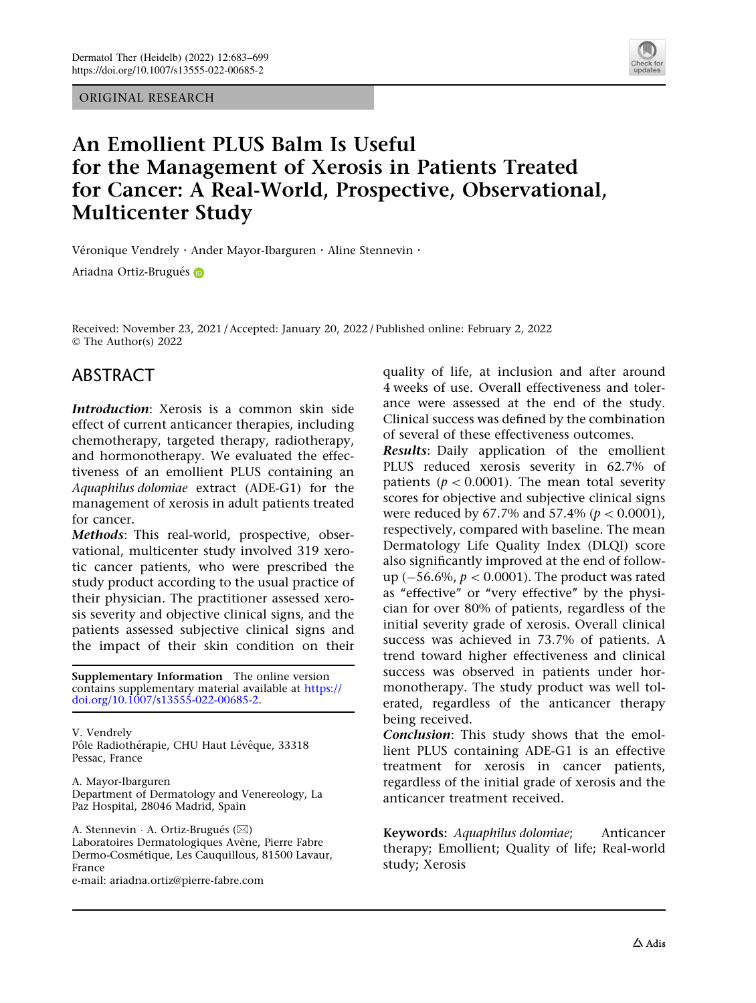ORIGINAL RESEARCH



# An Emollient PLUS Balm Is Useful for the Management of Xerosis in Patients Treated for Cancer: A Real-World, Prospective, Observational, Multicenter Study

Véronique Vendrely · Ander Mayor-Ibarguren · Aline Stennevin ·

Ariadna Ortiz-Brugués D

Received: November 23, 2021 / Accepted: January 20, 2022 / Published online: February 2, 2022 © The Author(s) 2022

## ABSTRACT

Introduction: Xerosis is a common skin side effect of current anticancer therapies, including chemotherapy, targeted therapy, radiotherapy, and hormonotherapy. We evaluated the effectiveness of an emollient PLUS containing an Aquaphilus dolomiae extract (ADE-G1) for the management of xerosis in adult patients treated for cancer.

Methods: This real-world, prospective, observational, multicenter study involved 319 xerotic cancer patients, who were prescribed the study product according to the usual practice of their physician. The practitioner assessed xerosis severity and objective clinical signs, and the patients assessed subjective clinical signs and the impact of their skin condition on their

Supplementary Information The online version contains supplementary material available at [https://](https://doi.org/10.1007/s13555-022-00685-2) [doi.org/10.1007/s13555-022-00685-2.](https://doi.org/10.1007/s13555-022-00685-2)

V. Vendrely Pôle Radiothérapie, CHU Haut Lévêque, 33318 Pessac, France

A. Mayor-Ibarguren Department of Dermatology and Venereology, La Paz Hospital, 28046 Madrid, Spain

A. Stennevin ∙ A. Ortiz-Brugués (⊠) Laboratoires Dermatologiques Avène, Pierre Fabre Dermo-Cosmétique, Les Cauquillous, 81500 Lavaur, France

e-mail: ariadna.ortiz@pierre-fabre.com

quality of life, at inclusion and after around 4 weeks of use. Overall effectiveness and tolerance were assessed at the end of the study. Clinical success was defined by the combination of several of these effectiveness outcomes.

Results: Daily application of the emollient PLUS reduced xerosis severity in 62.7% of patients ( $p < 0.0001$ ). The mean total severity scores for objective and subjective clinical signs were reduced by 67.7% and 57.4% ( $p < 0.0001$ ), respectively, compared with baseline. The mean Dermatology Life Quality Index (DLQI) score also significantly improved at the end of followup ( $-56.6\%$ ,  $p < 0.0001$ ). The product was rated as ''effective'' or ''very effective'' by the physician for over 80% of patients, regardless of the initial severity grade of xerosis. Overall clinical success was achieved in 73.7% of patients. A trend toward higher effectiveness and clinical success was observed in patients under hormonotherapy. The study product was well tolerated, regardless of the anticancer therapy being received.

Conclusion: This study shows that the emollient PLUS containing ADE-G1 is an effective treatment for xerosis in cancer patients, regardless of the initial grade of xerosis and the anticancer treatment received.

Keywords: Aquaphilus dolomiae; Anticancer therapy; Emollient; Quality of life; Real-world study; Xerosis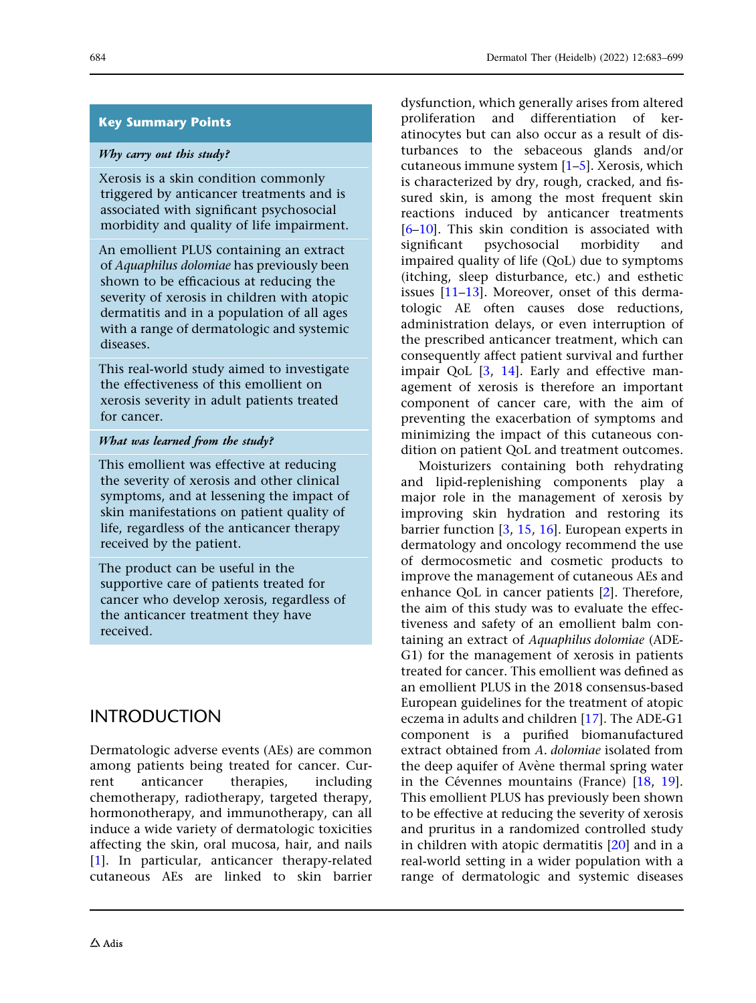## Key Summary Points

#### Why carry out this study?

Xerosis is a skin condition commonly triggered by anticancer treatments and is associated with significant psychosocial morbidity and quality of life impairment.

An emollient PLUS containing an extract of Aquaphilus dolomiae has previously been shown to be efficacious at reducing the severity of xerosis in children with atopic dermatitis and in a population of all ages with a range of dermatologic and systemic diseases.

This real-world study aimed to investigate the effectiveness of this emollient on xerosis severity in adult patients treated for cancer.

### What was learned from the study?

This emollient was effective at reducing the severity of xerosis and other clinical symptoms, and at lessening the impact of skin manifestations on patient quality of life, regardless of the anticancer therapy received by the patient.

The product can be useful in the supportive care of patients treated for cancer who develop xerosis, regardless of the anticancer treatment they have received.

## INTRODUCTION

Dermatologic adverse events (AEs) are common among patients being treated for cancer. Current anticancer therapies, including chemotherapy, radiotherapy, targeted therapy, hormonotherapy, and immunotherapy, can all induce a wide variety of dermatologic toxicities affecting the skin, oral mucosa, hair, and nails [\[1\]](#page-14-0). In particular, anticancer therapy-related cutaneous AEs are linked to skin barrier dysfunction, which generally arises from altered proliferation and differentiation of keratinocytes but can also occur as a result of disturbances to the sebaceous glands and/or cutaneous immune system [[1–5](#page-14-0)]. Xerosis, which is characterized by dry, rough, cracked, and fissured skin, is among the most frequent skin reactions induced by anticancer treatments [\[6–10\]](#page-14-0). This skin condition is associated with significant psychosocial morbidity and impaired quality of life (QoL) due to symptoms (itching, sleep disturbance, etc.) and esthetic issues [\[11–13](#page-14-0)]. Moreover, onset of this dermatologic AE often causes dose reductions, administration delays, or even interruption of the prescribed anticancer treatment, which can consequently affect patient survival and further impair QoL [[3](#page-14-0), [14](#page-14-0)]. Early and effective management of xerosis is therefore an important component of cancer care, with the aim of preventing the exacerbation of symptoms and minimizing the impact of this cutaneous condition on patient QoL and treatment outcomes.

Moisturizers containing both rehydrating and lipid-replenishing components play a major role in the management of xerosis by improving skin hydration and restoring its barrier function [\[3,](#page-14-0) [15](#page-14-0), [16](#page-14-0)]. European experts in dermatology and oncology recommend the use of dermocosmetic and cosmetic products to improve the management of cutaneous AEs and enhance QoL in cancer patients [\[2\]](#page-14-0). Therefore, the aim of this study was to evaluate the effectiveness and safety of an emollient balm containing an extract of Aquaphilus dolomiae (ADE-G1) for the management of xerosis in patients treated for cancer. This emollient was defined as an emollient PLUS in the 2018 consensus-based European guidelines for the treatment of atopic eczema in adults and children [[17](#page-15-0)]. The ADE-G1 component is a purified biomanufactured extract obtained from A. dolomiae isolated from the deep aquifer of Avène thermal spring water in the Cévennes mountains (France)  $[18, 19]$  $[18, 19]$  $[18, 19]$  $[18, 19]$  $[18, 19]$ . This emollient PLUS has previously been shown to be effective at reducing the severity of xerosis and pruritus in a randomized controlled study in children with atopic dermatitis [[20](#page-15-0)] and in a real-world setting in a wider population with a range of dermatologic and systemic diseases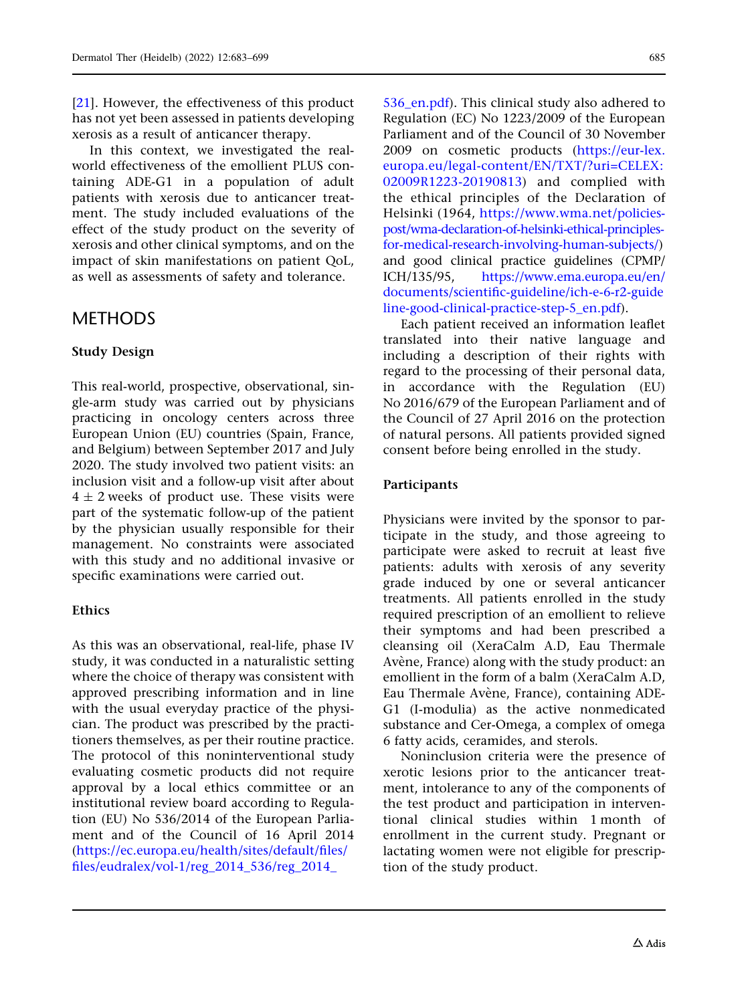[\[21](#page-15-0)]. However, the effectiveness of this product has not yet been assessed in patients developing xerosis as a result of anticancer therapy.

In this context, we investigated the realworld effectiveness of the emollient PLUS containing ADE-G1 in a population of adult patients with xerosis due to anticancer treatment. The study included evaluations of the effect of the study product on the severity of xerosis and other clinical symptoms, and on the impact of skin manifestations on patient QoL, as well as assessments of safety and tolerance.

## **METHODS**

### Study Design

This real-world, prospective, observational, single-arm study was carried out by physicians practicing in oncology centers across three European Union (EU) countries (Spain, France, and Belgium) between September 2017 and July 2020. The study involved two patient visits: an inclusion visit and a follow-up visit after about  $4 \pm 2$  weeks of product use. These visits were part of the systematic follow-up of the patient by the physician usually responsible for their management. No constraints were associated with this study and no additional invasive or specific examinations were carried out.

### Ethics

As this was an observational, real-life, phase IV study, it was conducted in a naturalistic setting where the choice of therapy was consistent with approved prescribing information and in line with the usual everyday practice of the physician. The product was prescribed by the practitioners themselves, as per their routine practice. The protocol of this noninterventional study evaluating cosmetic products did not require approval by a local ethics committee or an institutional review board according to Regulation (EU) No 536/2014 of the European Parliament and of the Council of 16 April 2014 [\(https://ec.europa.eu/health/sites/default/files/](https://ec.europa.eu/health/sites/default/files/files/eudralex/vol-1/reg_2014_536/reg_2014_536_en.pdf) [files/eudralex/vol-1/reg\\_2014\\_536/reg\\_2014\\_](https://ec.europa.eu/health/sites/default/files/files/eudralex/vol-1/reg_2014_536/reg_2014_536_en.pdf)

536 en.pdf). This clinical study also adhered to Regulation (EC) No 1223/2009 of the European Parliament and of the Council of 30 November 2009 on cosmetic products ([https://eur-lex.](https://eur-lex.europa.eu/legal-content/EN/TXT/?uri=CELEX:02009R1223-20190813) [europa.eu/legal-content/EN/TXT/?uri=CELEX:](https://eur-lex.europa.eu/legal-content/EN/TXT/?uri=CELEX:02009R1223-20190813) [02009R1223-20190813\)](https://eur-lex.europa.eu/legal-content/EN/TXT/?uri=CELEX:02009R1223-20190813) and complied with the ethical principles of the Declaration of Helsinki (1964, [https://www.wma.net/policies](https://www.wma.net/policies-post/wma-declaration-of-helsinki-ethical-principles-for-medical-research-involving-human-subjects/)[post/wma-declaration-of-helsinki-ethical-principles](https://www.wma.net/policies-post/wma-declaration-of-helsinki-ethical-principles-for-medical-research-involving-human-subjects/)[for-medical-research-involving-human-subjects/](https://www.wma.net/policies-post/wma-declaration-of-helsinki-ethical-principles-for-medical-research-involving-human-subjects/)) and good clinical practice guidelines (CPMP/ ICH/135/95, [https://www.ema.europa.eu/en/](https://www.ema.europa.eu/en/documents/scientific-guideline/ich-e-6-r2-guideline-good-clinical-practice-step-5_en.pdf) [documents/scientific-guideline/ich-e-6-r2-guide](https://www.ema.europa.eu/en/documents/scientific-guideline/ich-e-6-r2-guideline-good-clinical-practice-step-5_en.pdf) [line-good-clinical-practice-step-5\\_en.pdf](https://www.ema.europa.eu/en/documents/scientific-guideline/ich-e-6-r2-guideline-good-clinical-practice-step-5_en.pdf)).

Each patient received an information leaflet translated into their native language and including a description of their rights with regard to the processing of their personal data, in accordance with the Regulation (EU) No 2016/679 of the European Parliament and of the Council of 27 April 2016 on the protection of natural persons. All patients provided signed consent before being enrolled in the study.

### Participants

Physicians were invited by the sponsor to participate in the study, and those agreeing to participate were asked to recruit at least five patients: adults with xerosis of any severity grade induced by one or several anticancer treatments. All patients enrolled in the study required prescription of an emollient to relieve their symptoms and had been prescribed a cleansing oil (XeraCalm A.D, Eau Thermale Avène, France) along with the study product: an emollient in the form of a balm (XeraCalm A.D, Eau Thermale Avène, France), containing ADE-G1 (I-modulia) as the active nonmedicated substance and Cer-Omega, a complex of omega 6 fatty acids, ceramides, and sterols.

Noninclusion criteria were the presence of xerotic lesions prior to the anticancer treatment, intolerance to any of the components of the test product and participation in interventional clinical studies within 1 month of enrollment in the current study. Pregnant or lactating women were not eligible for prescription of the study product.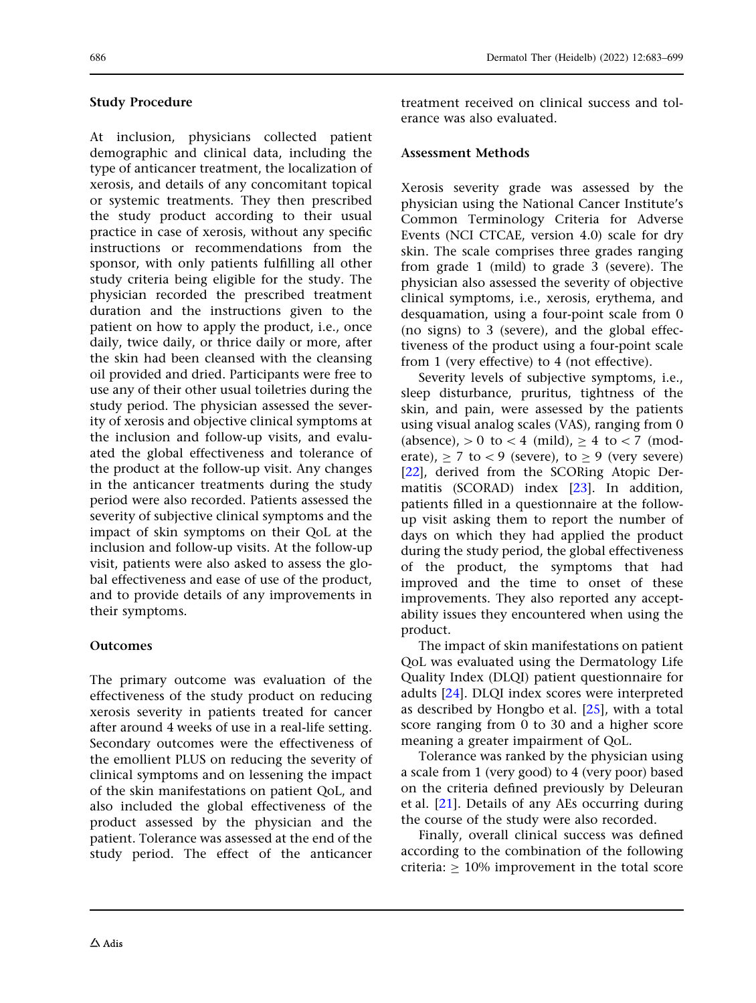### Study Procedure

At inclusion, physicians collected patient demographic and clinical data, including the type of anticancer treatment, the localization of xerosis, and details of any concomitant topical or systemic treatments. They then prescribed the study product according to their usual practice in case of xerosis, without any specific instructions or recommendations from the sponsor, with only patients fulfilling all other study criteria being eligible for the study. The physician recorded the prescribed treatment duration and the instructions given to the patient on how to apply the product, i.e., once daily, twice daily, or thrice daily or more, after the skin had been cleansed with the cleansing oil provided and dried. Participants were free to use any of their other usual toiletries during the study period. The physician assessed the severity of xerosis and objective clinical symptoms at the inclusion and follow-up visits, and evaluated the global effectiveness and tolerance of the product at the follow-up visit. Any changes in the anticancer treatments during the study period were also recorded. Patients assessed the severity of subjective clinical symptoms and the impact of skin symptoms on their QoL at the inclusion and follow-up visits. At the follow-up visit, patients were also asked to assess the global effectiveness and ease of use of the product, and to provide details of any improvements in their symptoms.

### **Outcomes**

The primary outcome was evaluation of the effectiveness of the study product on reducing xerosis severity in patients treated for cancer after around 4 weeks of use in a real-life setting. Secondary outcomes were the effectiveness of the emollient PLUS on reducing the severity of clinical symptoms and on lessening the impact of the skin manifestations on patient QoL, and also included the global effectiveness of the product assessed by the physician and the patient. Tolerance was assessed at the end of the study period. The effect of the anticancer

treatment received on clinical success and tolerance was also evaluated.

### Assessment Methods

Xerosis severity grade was assessed by the physician using the National Cancer Institute's Common Terminology Criteria for Adverse Events (NCI CTCAE, version 4.0) scale for dry skin. The scale comprises three grades ranging from grade 1 (mild) to grade 3 (severe). The physician also assessed the severity of objective clinical symptoms, i.e., xerosis, erythema, and desquamation, using a four-point scale from 0 (no signs) to 3 (severe), and the global effectiveness of the product using a four-point scale from 1 (very effective) to 4 (not effective).

Severity levels of subjective symptoms, i.e., sleep disturbance, pruritus, tightness of the skin, and pain, were assessed by the patients using visual analog scales (VAS), ranging from 0 (absence),  $> 0$  to  $< 4$  (mild),  $\geq 4$  to  $< 7$  (moderate),  $\geq 7$  to  $\lt 9$  (severe), to  $\geq 9$  (very severe) [\[22\]](#page-15-0), derived from the SCORing Atopic Dermatitis (SCORAD) index [[23](#page-15-0)]. In addition, patients filled in a questionnaire at the followup visit asking them to report the number of days on which they had applied the product during the study period, the global effectiveness of the product, the symptoms that had improved and the time to onset of these improvements. They also reported any acceptability issues they encountered when using the product.

The impact of skin manifestations on patient QoL was evaluated using the Dermatology Life Quality Index (DLQI) patient questionnaire for adults [[24](#page-15-0)]. DLQI index scores were interpreted as described by Hongbo et al. [[25](#page-15-0)], with a total score ranging from 0 to 30 and a higher score meaning a greater impairment of QoL.

Tolerance was ranked by the physician using a scale from 1 (very good) to 4 (very poor) based on the criteria defined previously by Deleuran et al. [[21](#page-15-0)]. Details of any AEs occurring during the course of the study were also recorded.

Finally, overall clinical success was defined according to the combination of the following criteria:  $\geq 10\%$  improvement in the total score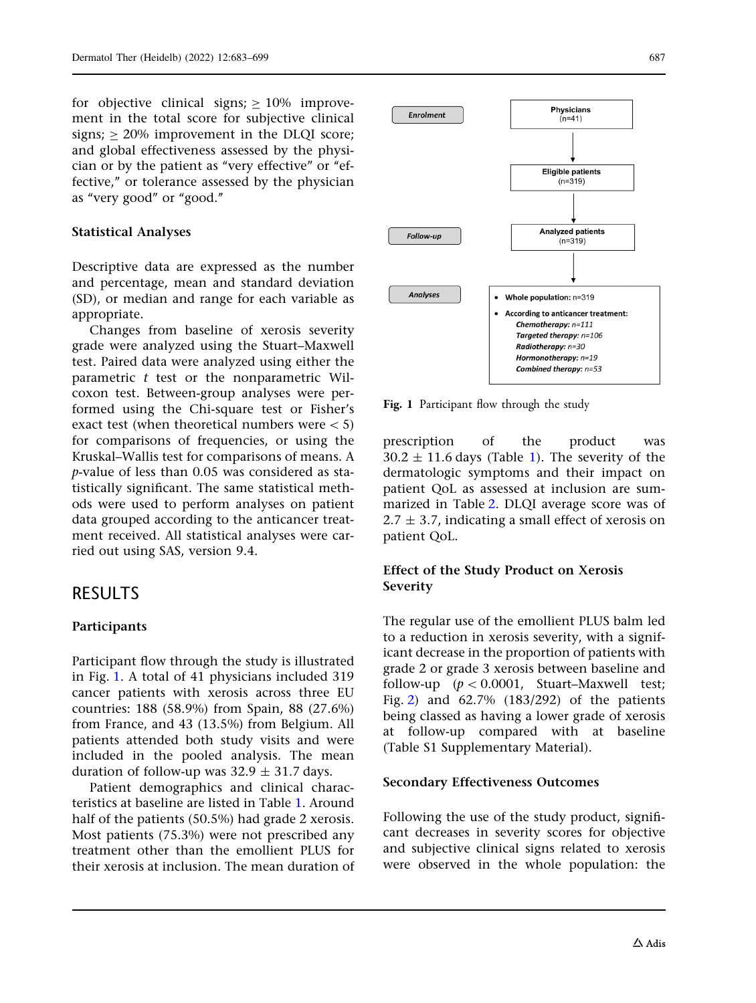for objective clinical signs;  $\geq 10\%$  improvement in the total score for subjective clinical signs;  $> 20\%$  improvement in the DLQI score; and global effectiveness assessed by the physician or by the patient as "very effective" or "effective,'' or tolerance assessed by the physician as ''very good'' or ''good.''

#### Statistical Analyses

Descriptive data are expressed as the number and percentage, mean and standard deviation (SD), or median and range for each variable as appropriate.

Changes from baseline of xerosis severity grade were analyzed using the Stuart–Maxwell test. Paired data were analyzed using either the parametric  $t$  test or the nonparametric Wilcoxon test. Between-group analyses were performed using the Chi-square test or Fisher's exact test (when theoretical numbers were  $\lt 5$ ) for comparisons of frequencies, or using the Kruskal–Wallis test for comparisons of means. A p-value of less than 0.05 was considered as statistically significant. The same statistical methods were used to perform analyses on patient data grouped according to the anticancer treatment received. All statistical analyses were carried out using SAS, version 9.4.

## RESULTS

#### Participants

Participant flow through the study is illustrated in Fig. 1. A total of 41 physicians included 319 cancer patients with xerosis across three EU countries: 188 (58.9%) from Spain, 88 (27.6%) from France, and 43 (13.5%) from Belgium. All patients attended both study visits and were included in the pooled analysis. The mean duration of follow-up was  $32.9 \pm 31.7$  days.

Patient demographics and clinical characteristics at baseline are listed in Table [1](#page-5-0). Around half of the patients (50.5%) had grade 2 xerosis. Most patients (75.3%) were not prescribed any treatment other than the emollient PLUS for their xerosis at inclusion. The mean duration of



Fig. 1 Participant flow through the study

prescription of the product was  $30.2 \pm 11.6$  days (Table [1\)](#page-5-0). The severity of the dermatologic symptoms and their impact on patient QoL as assessed at inclusion are summarized in Table [2](#page-6-0). DLQI average score was of  $2.7 \pm 3.7$ , indicating a small effect of xerosis on patient QoL.

### Effect of the Study Product on Xerosis Severity

The regular use of the emollient PLUS balm led to a reduction in xerosis severity, with a significant decrease in the proportion of patients with grade 2 or grade 3 xerosis between baseline and follow-up  $(p < 0.0001,$  Stuart–Maxwell test; Fig. [2\)](#page-7-0) and 62.7% (183/292) of the patients being classed as having a lower grade of xerosis at follow-up compared with at baseline (Table S1 Supplementary Material).

#### Secondary Effectiveness Outcomes

Following the use of the study product, significant decreases in severity scores for objective and subjective clinical signs related to xerosis were observed in the whole population: the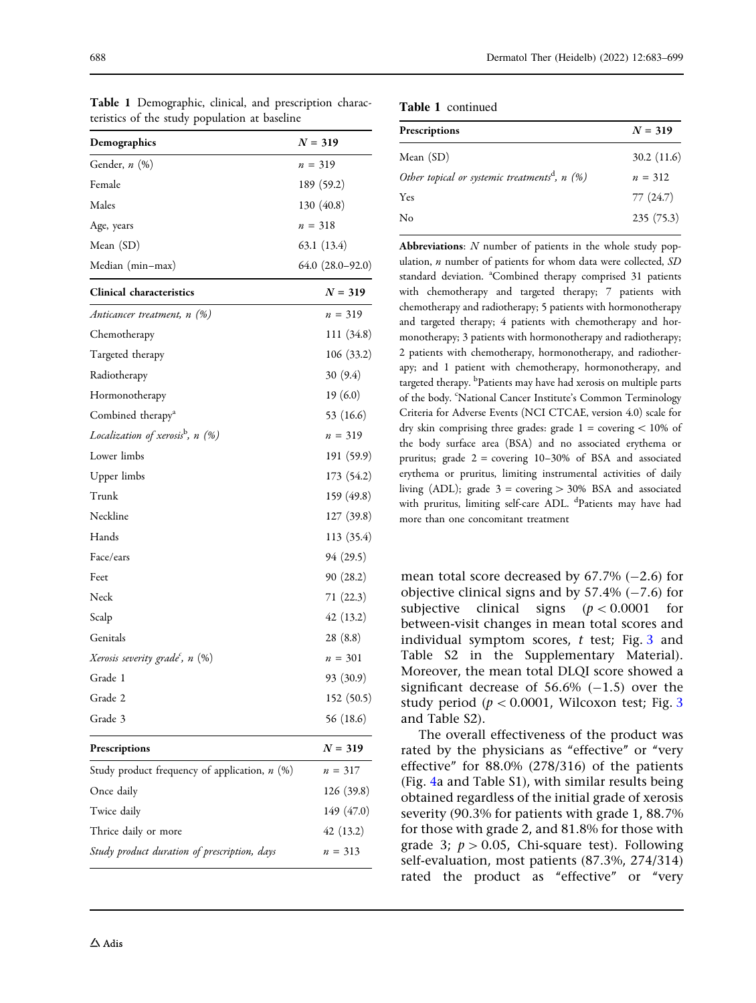| teristics of the study population at baseline   |                        |  |
|-------------------------------------------------|------------------------|--|
| Demographics                                    | $N = 319$              |  |
| Gender, n (%)                                   | $n = 319$              |  |
| Female                                          | 189 (59.2)             |  |
| Males                                           | 130 (40.8)             |  |
| Age, years                                      | $n = 318$              |  |
| Mean (SD)                                       | 63.1 (13.4)            |  |
| Median (min-max)                                | $64.0$ $(28.0 - 92.0)$ |  |
| <b>Clinical characteristics</b>                 | $N = 319$              |  |
| Anticancer treatment, n (%)                     | $n = 319$              |  |
| Chemotherapy                                    | 111 (34.8)             |  |
| Targeted therapy                                | 106 (33.2)             |  |
| Radiotherapy                                    | 30 (9.4)               |  |
| Hormonotherapy                                  | 19(6.0)                |  |
| Combined therapy <sup>a</sup>                   | 53 (16.6)              |  |
| Localization of xerosis <sup>b</sup> , n (%)    | $n = 319$              |  |
| Lower limbs                                     | 191 (59.9)             |  |
| Upper limbs                                     | 173 (54.2)             |  |
| Trunk                                           | 159 (49.8)             |  |
| Neckline                                        | 127 (39.8)             |  |
| Hands                                           | 113 (35.4)             |  |
| Face/ears                                       | 94 (29.5)              |  |
| Feet                                            | 90(28.2)               |  |
| Neck                                            | 71(22.3)               |  |
| Scalp                                           | 42(13.2)               |  |
| Genitals                                        | 28(8.8)                |  |
| Xerosis severity grade <sup>c</sup> , n (%)     | $n = 301$              |  |
| Grade 1                                         | 93 (30.9)              |  |
| Grade 2                                         | 152 (50.5)             |  |
| Grade 3                                         | 56 (18.6)              |  |
| Prescriptions                                   | $N = 319$              |  |
| Study product frequency of application, $n$ (%) | $n = 317$              |  |
| Once daily                                      | 126 (39.8)             |  |
| Twice daily                                     | 149 (47.0)             |  |
| Thrice daily or more                            | 42 (13.2)              |  |
| Study product duration of prescription, days    | $n = 313$              |  |

<span id="page-5-0"></span>Table 1 Demographic, clinical, and prescription charac-

Table 1 continued

| Prescriptions                                               | $N = 319$  |
|-------------------------------------------------------------|------------|
| Mean $(SD)$                                                 | 30.2(11.6) |
| Other topical or systemic treatments <sup>d</sup> , $n$ (%) | $n = 312$  |
| Yes                                                         | 77(24.7)   |
| No                                                          | 235(75.3)  |
|                                                             |            |

Abbreviations:  $N$  number of patients in the whole study population,  $n$  number of patients for whom data were collected,  $SD$ standard deviation. <sup>a</sup>Combined therapy comprised 31 patients with chemotherapy and targeted therapy; 7 patients with chemotherapy and radiotherapy; 5 patients with hormonotherapy and targeted therapy; 4 patients with chemotherapy and hormonotherapy; 3 patients with hormonotherapy and radiotherapy; 2 patients with chemotherapy, hormonotherapy, and radiotherapy; and 1 patient with chemotherapy, hormonotherapy, and targeted therapy. <sup>b</sup>Patients may have had xerosis on multiple parts of the body. 'National Cancer Institute's Common Terminology Criteria for Adverse Events (NCI CTCAE, version 4.0) scale for dry skin comprising three grades: grade  $1 =$  covering  $\lt 10\%$  of the body surface area (BSA) and no associated erythema or pruritus; grade 2 = covering 10–30% of BSA and associated erythema or pruritus, limiting instrumental activities of daily living (ADL); grade  $3 =$  covering  $> 30\%$  BSA and associated with pruritus, limiting self-care ADL. <sup>d</sup>Patients may have had more than one concomitant treatment

mean total score decreased by  $67.7\%$  (-2.6) for objective clinical signs and by  $57.4\%$  (-7.6) for subjective clinical signs  $(p < 0.0001$  for between-visit changes in mean total scores and individual symptom scores,  $t$  test; Fig. [3](#page-7-0) and Table S2 in the Supplementary Material). Moreover, the mean total DLQI score showed a significant decrease of  $56.6\%$  (-1.5) over the study period ( $p < 0.0001$ , Wilcoxon test; Fig. [3](#page-7-0) and Table S2).

The overall effectiveness of the product was rated by the physicians as "effective" or "very effective'' for 88.0% (278/316) of the patients (Fig. [4](#page-8-0)a and Table S1), with similar results being obtained regardless of the initial grade of xerosis severity (90.3% for patients with grade 1, 88.7% for those with grade 2, and 81.8% for those with grade 3;  $p > 0.05$ , Chi-square test). Following self-evaluation, most patients (87.3%, 274/314) rated the product as "effective" or "very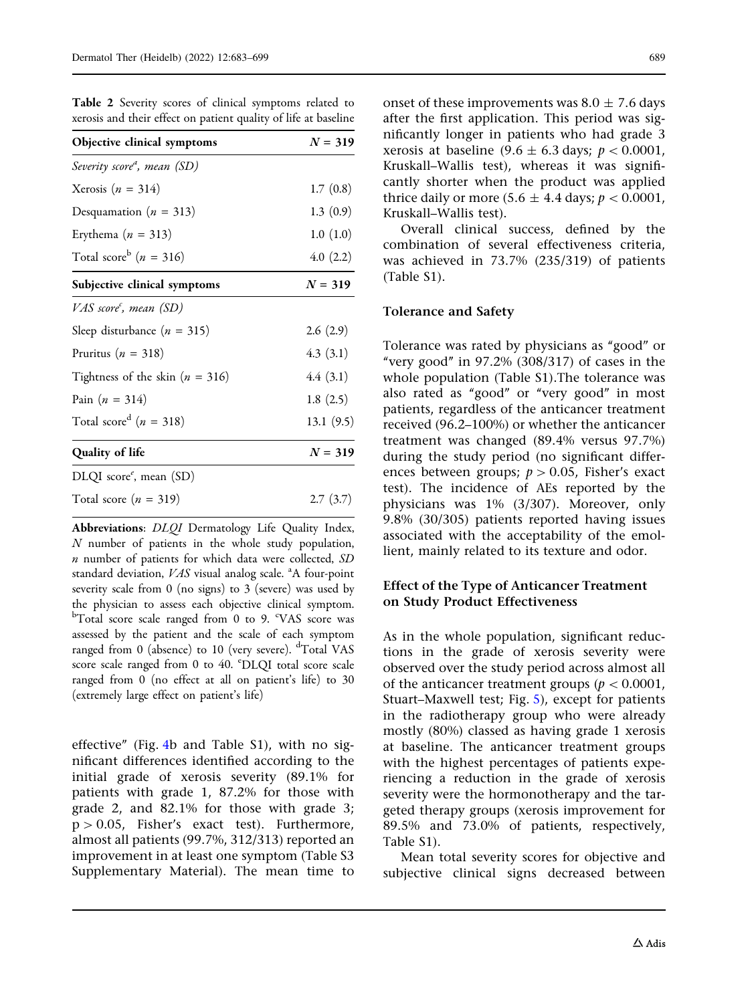| Objective clinical symptoms                | $N = 319$ |  |
|--------------------------------------------|-----------|--|
| Severity score <sup>a</sup> , mean (SD)    |           |  |
| Xerosis ( $n = 314$ )                      | 1.7(0.8)  |  |
| Desquamation ( $n = 313$ )                 | 1.3(0.9)  |  |
| Erythema ( $n = 313$ )                     | 1.0(1.0)  |  |
| Total score <sup>b</sup> ( <i>n</i> = 316) | 4.0(2.2)  |  |
| Subjective clinical symptoms               | $N = 319$ |  |
| VAS score <sup>c</sup> , mean (SD)         |           |  |
| Sleep disturbance ( $n = 315$ )            | 2.6(2.9)  |  |
| Pruritus ( $n = 318$ )                     | 4.3(3.1)  |  |
| Tightness of the skin ( $n = 316$ )        | 4.4(3.1)  |  |
| Pain $(n = 314)$                           | 1.8(2.5)  |  |
| Total score <sup>d</sup> ( <i>n</i> = 318) | 13.1(9.5) |  |
| <b>Quality of life</b>                     | $N = 319$ |  |
| DLQI $score^e$ , mean $(SD)$               |           |  |
| Total score $(n = 319)$                    | 2.7(3.7)  |  |

<span id="page-6-0"></span>Table 2 Severity scores of clinical symptoms related to xerosis and their effect on patient quality of life at baseline

Abbreviations: DLQI Dermatology Life Quality Index, N number of patients in the whole study population, n number of patients for which data were collected, SD standard deviation, VAS visual analog scale. <sup>a</sup>A four-point severity scale from 0 (no signs) to 3 (severe) was used by the physician to assess each objective clinical symptom. <sup>b</sup>Total score scale ranged from 0 to 9. °VAS score was assessed by the patient and the scale of each symptom ranged from 0 (absence) to 10 (very severe). <sup>d</sup>Total VAS score scale ranged from 0 to 40. °DLQI total score scale ranged from 0 (no effect at all on patient's life) to 30 (extremely large effect on patient's life)

effective'' (Fig. [4b](#page-8-0) and Table S1), with no significant differences identified according to the initial grade of xerosis severity (89.1% for patients with grade 1, 87.2% for those with grade 2, and 82.1% for those with grade 3;  $p > 0.05$ , Fisher's exact test). Furthermore, almost all patients (99.7%, 312/313) reported an improvement in at least one symptom (Table S3 Supplementary Material). The mean time to onset of these improvements was  $8.0 \pm 7.6$  days after the first application. This period was significantly longer in patients who had grade 3 xerosis at baseline  $(9.6 \pm 6.3$  days;  $p < 0.0001$ , Kruskall–Wallis test), whereas it was significantly shorter when the product was applied thrice daily or more  $(5.6 \pm 4.4 \text{ days}; p < 0.0001$ , Kruskall–Wallis test).

Overall clinical success, defined by the combination of several effectiveness criteria, was achieved in 73.7% (235/319) of patients (Table S1).

#### Tolerance and Safety

Tolerance was rated by physicians as ''good'' or "very good" in  $97.2\%$  (308/317) of cases in the whole population (Table S1).The tolerance was also rated as "good" or "very good" in most patients, regardless of the anticancer treatment received (96.2–100%) or whether the anticancer treatment was changed (89.4% versus 97.7%) during the study period (no significant differences between groups;  $p > 0.05$ , Fisher's exact test). The incidence of AEs reported by the physicians was 1% (3/307). Moreover, only 9.8% (30/305) patients reported having issues associated with the acceptability of the emollient, mainly related to its texture and odor.

#### Effect of the Type of Anticancer Treatment on Study Product Effectiveness

As in the whole population, significant reductions in the grade of xerosis severity were observed over the study period across almost all of the anticancer treatment groups ( $p < 0.0001$ , Stuart–Maxwell test; Fig. [5\)](#page-9-0), except for patients in the radiotherapy group who were already mostly (80%) classed as having grade 1 xerosis at baseline. The anticancer treatment groups with the highest percentages of patients experiencing a reduction in the grade of xerosis severity were the hormonotherapy and the targeted therapy groups (xerosis improvement for 89.5% and 73.0% of patients, respectively, Table S1).

Mean total severity scores for objective and subjective clinical signs decreased between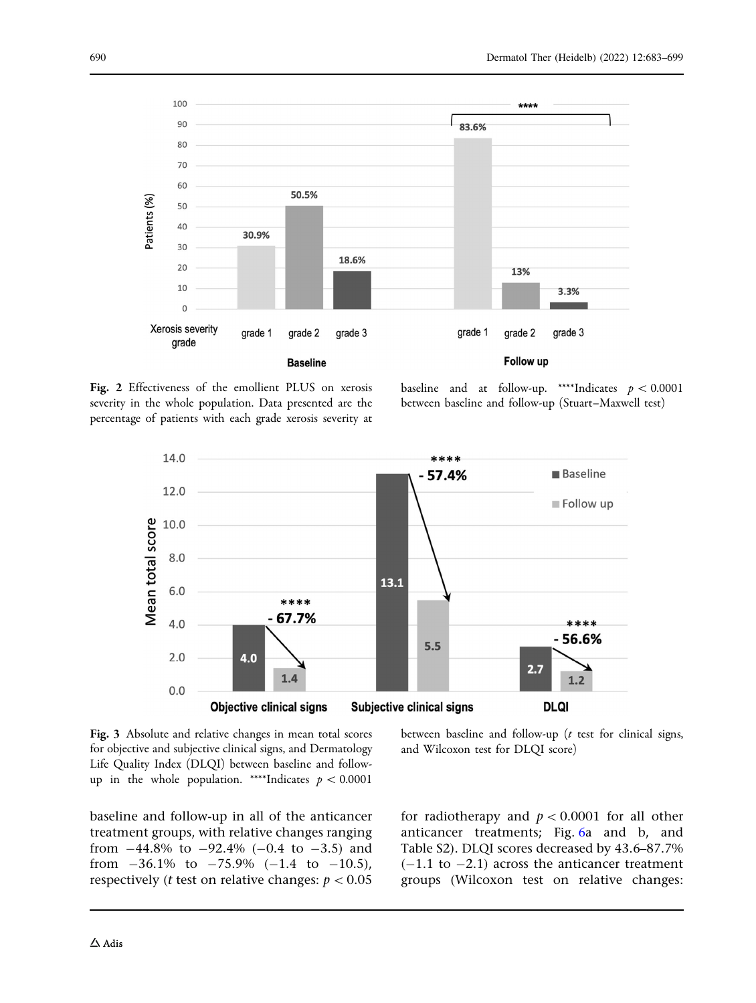<span id="page-7-0"></span>

Fig. 2 Effectiveness of the emollient PLUS on xerosis severity in the whole population. Data presented are the percentage of patients with each grade xerosis severity at

baseline and at follow-up. \*\*\*\*Indicates  $p < 0.0001$ between baseline and follow-up (Stuart–Maxwell test)



Fig. 3 Absolute and relative changes in mean total scores for objective and subjective clinical signs, and Dermatology Life Quality Index (DLQI) between baseline and followup in the whole population. \*\*\*\*Indicates  $p < 0.0001$ 

baseline and follow-up in all of the anticancer treatment groups, with relative changes ranging from  $-44.8\%$  to  $-92.4\%$  (-0.4 to  $-3.5$ ) and from  $-36.1\%$  to  $-75.9\%$  (-1.4 to -10.5), respectively (*t* test on relative changes:  $p < 0.05$  between baseline and follow-up  $(t$  test for clinical signs, and Wilcoxon test for DLQI score)

for radiotherapy and  $p < 0.0001$  for all other anticancer treatments; Fig. [6](#page-12-0)a and b, and Table S2). DLQI scores decreased by 43.6–87.7%  $(-1.1$  to  $-2.1)$  across the anticancer treatment groups (Wilcoxon test on relative changes: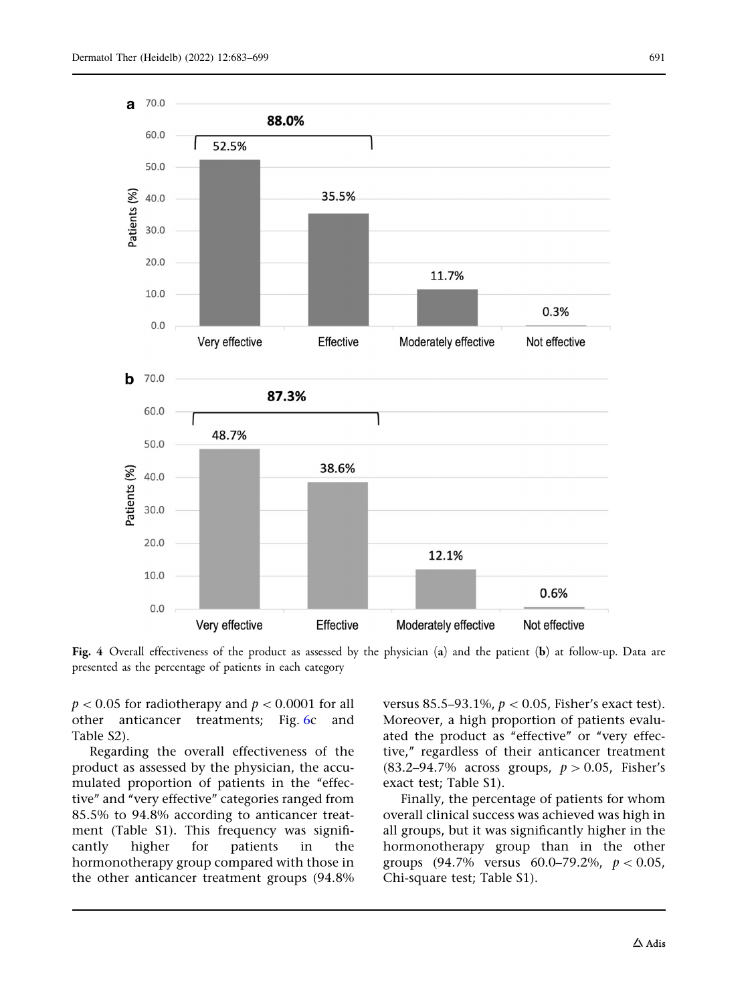<span id="page-8-0"></span>

Fig. 4 Overall effectiveness of the product as assessed by the physician (a) and the patient (b) at follow-up. Data are presented as the percentage of patients in each category

 $p < 0.05$  for radiotherapy and  $p < 0.0001$  for all other anticancer treatments; Fig. [6c](#page-12-0) and Table S2).

Regarding the overall effectiveness of the product as assessed by the physician, the accumulated proportion of patients in the "effective'' and ''very effective'' categories ranged from 85.5% to 94.8% according to anticancer treatment (Table S1). This frequency was significantly higher for patients in the hormonotherapy group compared with those in the other anticancer treatment groups (94.8%

versus 85.5–93.1%,  $p < 0.05$ , Fisher's exact test). Moreover, a high proportion of patients evaluated the product as "effective" or "very effective,'' regardless of their anticancer treatment (83.2–94.7% across groups,  $p > 0.05$ , Fisher's exact test; Table S1).

Finally, the percentage of patients for whom overall clinical success was achieved was high in all groups, but it was significantly higher in the hormonotherapy group than in the other groups (94.7% versus 60.0–79.2%,  $p < 0.05$ , Chi-square test; Table S1).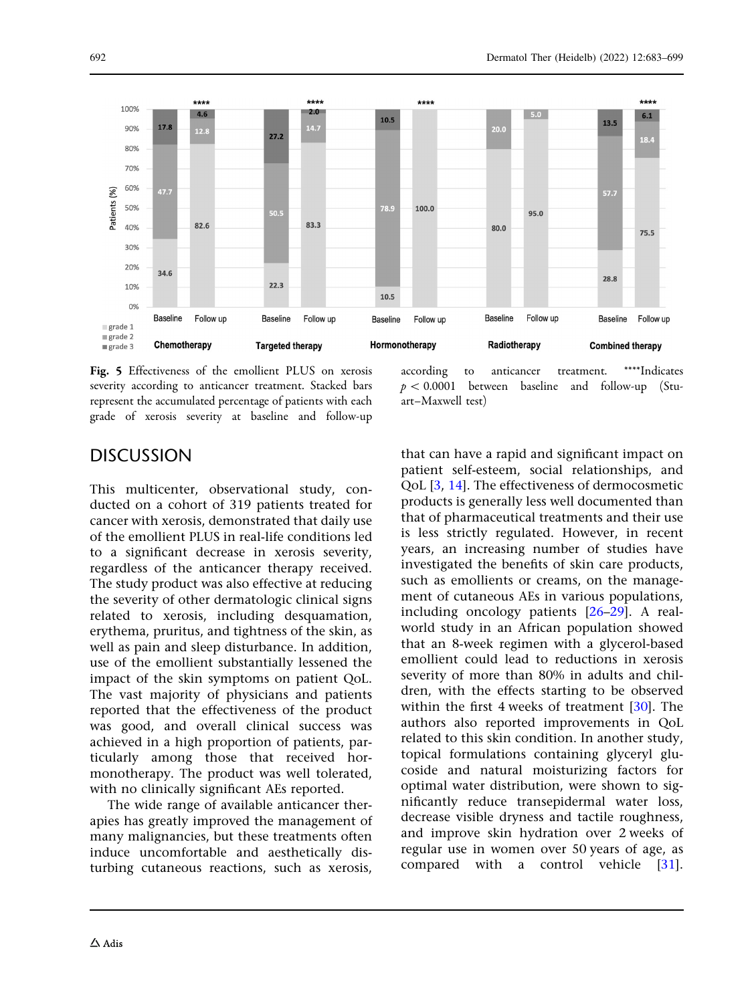<span id="page-9-0"></span>

Fig. 5 Effectiveness of the emollient PLUS on xerosis severity according to anticancer treatment. Stacked bars represent the accumulated percentage of patients with each grade of xerosis severity at baseline and follow-up

according to anticancer treatment. \*\*\*\*Indicates  $p < 0.0001$  between baseline and follow-up (Stuart–Maxwell test)

## **DISCUSSION**

This multicenter, observational study, conducted on a cohort of 319 patients treated for cancer with xerosis, demonstrated that daily use of the emollient PLUS in real-life conditions led to a significant decrease in xerosis severity, regardless of the anticancer therapy received. The study product was also effective at reducing the severity of other dermatologic clinical signs related to xerosis, including desquamation, erythema, pruritus, and tightness of the skin, as well as pain and sleep disturbance. In addition, use of the emollient substantially lessened the impact of the skin symptoms on patient QoL. The vast majority of physicians and patients reported that the effectiveness of the product was good, and overall clinical success was achieved in a high proportion of patients, particularly among those that received hormonotherapy. The product was well tolerated, with no clinically significant AEs reported.

The wide range of available anticancer therapies has greatly improved the management of many malignancies, but these treatments often induce uncomfortable and aesthetically disturbing cutaneous reactions, such as xerosis, that can have a rapid and significant impact on patient self-esteem, social relationships, and QoL [[3,](#page-14-0) [14\]](#page-14-0). The effectiveness of dermocosmetic products is generally less well documented than that of pharmaceutical treatments and their use is less strictly regulated. However, in recent years, an increasing number of studies have investigated the benefits of skin care products, such as emollients or creams, on the management of cutaneous AEs in various populations, including oncology patients [\[26–29](#page-15-0)]. A realworld study in an African population showed that an 8-week regimen with a glycerol-based emollient could lead to reductions in xerosis severity of more than 80% in adults and children, with the effects starting to be observed within the first 4 weeks of treatment [\[30\]](#page-15-0). The authors also reported improvements in QoL related to this skin condition. In another study, topical formulations containing glyceryl glucoside and natural moisturizing factors for optimal water distribution, were shown to significantly reduce transepidermal water loss, decrease visible dryness and tactile roughness, and improve skin hydration over 2 weeks of regular use in women over 50 years of age, as compared with a control vehicle [[31](#page-15-0)].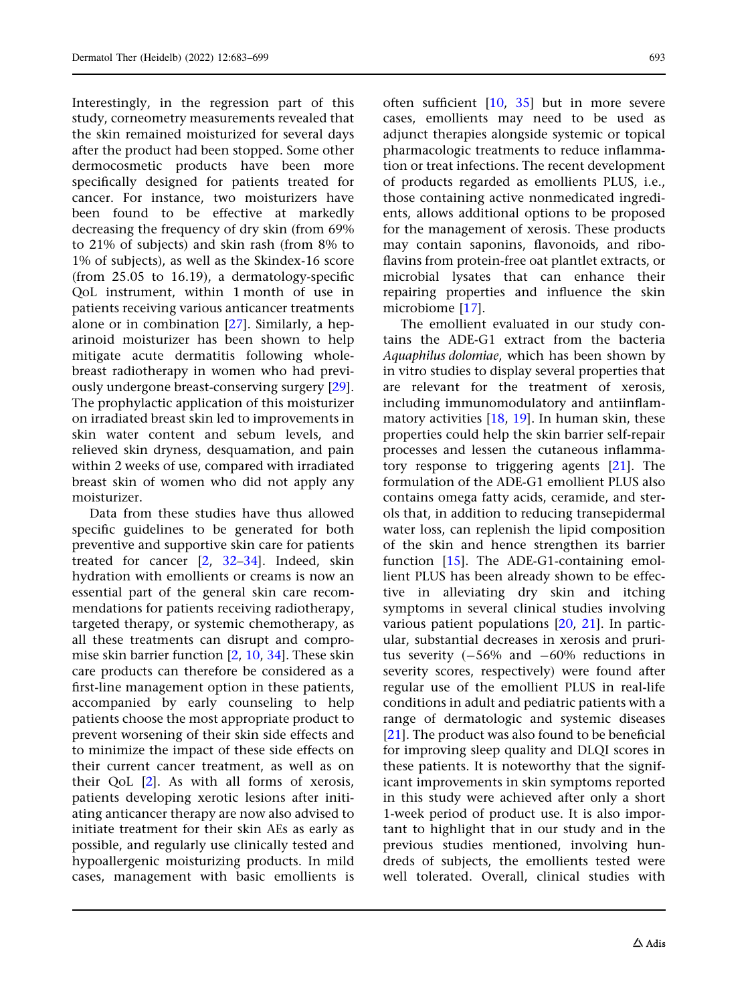Interestingly, in the regression part of this study, corneometry measurements revealed that the skin remained moisturized for several days after the product had been stopped. Some other dermocosmetic products have been more specifically designed for patients treated for cancer. For instance, two moisturizers have been found to be effective at markedly decreasing the frequency of dry skin (from 69% to 21% of subjects) and skin rash (from 8% to 1% of subjects), as well as the Skindex-16 score (from 25.05 to 16.19), a dermatology-specific QoL instrument, within 1 month of use in patients receiving various anticancer treatments alone or in combination [\[27\]](#page-15-0). Similarly, a heparinoid moisturizer has been shown to help mitigate acute dermatitis following wholebreast radiotherapy in women who had previously undergone breast-conserving surgery [[29\]](#page-15-0). The prophylactic application of this moisturizer on irradiated breast skin led to improvements in skin water content and sebum levels, and relieved skin dryness, desquamation, and pain within 2 weeks of use, compared with irradiated breast skin of women who did not apply any moisturizer.

Data from these studies have thus allowed specific guidelines to be generated for both preventive and supportive skin care for patients treated for cancer [\[2,](#page-14-0) [32–34](#page-15-0)]. Indeed, skin hydration with emollients or creams is now an essential part of the general skin care recommendations for patients receiving radiotherapy, targeted therapy, or systemic chemotherapy, as all these treatments can disrupt and compromise skin barrier function [\[2,](#page-14-0) [10,](#page-14-0) [34\]](#page-15-0). These skin care products can therefore be considered as a first-line management option in these patients, accompanied by early counseling to help patients choose the most appropriate product to prevent worsening of their skin side effects and to minimize the impact of these side effects on their current cancer treatment, as well as on their QoL [[2](#page-14-0)]. As with all forms of xerosis, patients developing xerotic lesions after initiating anticancer therapy are now also advised to initiate treatment for their skin AEs as early as possible, and regularly use clinically tested and hypoallergenic moisturizing products. In mild cases, management with basic emollients is

often sufficient [[10](#page-14-0), [35\]](#page-15-0) but in more severe cases, emollients may need to be used as adjunct therapies alongside systemic or topical pharmacologic treatments to reduce inflammation or treat infections. The recent development of products regarded as emollients PLUS, i.e., those containing active nonmedicated ingredients, allows additional options to be proposed for the management of xerosis. These products may contain saponins, flavonoids, and riboflavins from protein-free oat plantlet extracts, or microbial lysates that can enhance their repairing properties and influence the skin microbiome [\[17\]](#page-15-0).

The emollient evaluated in our study contains the ADE-G1 extract from the bacteria Aquaphilus dolomiae, which has been shown by in vitro studies to display several properties that are relevant for the treatment of xerosis, including immunomodulatory and antiinflammatory activities  $[18, 19]$  $[18, 19]$  $[18, 19]$  $[18, 19]$ . In human skin, these properties could help the skin barrier self-repair processes and lessen the cutaneous inflammatory response to triggering agents [[21\]](#page-15-0). The formulation of the ADE-G1 emollient PLUS also contains omega fatty acids, ceramide, and sterols that, in addition to reducing transepidermal water loss, can replenish the lipid composition of the skin and hence strengthen its barrier function [[15](#page-14-0)]. The ADE-G1-containing emollient PLUS has been already shown to be effective in alleviating dry skin and itching symptoms in several clinical studies involving various patient populations [\[20,](#page-15-0) [21\]](#page-15-0). In particular, substantial decreases in xerosis and pruritus severity  $(-56\% \text{ and } -60\% \text{ reductions in})$ severity scores, respectively) were found after regular use of the emollient PLUS in real-life conditions in adult and pediatric patients with a range of dermatologic and systemic diseases [\[21\]](#page-15-0). The product was also found to be beneficial for improving sleep quality and DLQI scores in these patients. It is noteworthy that the significant improvements in skin symptoms reported in this study were achieved after only a short 1-week period of product use. It is also important to highlight that in our study and in the previous studies mentioned, involving hundreds of subjects, the emollients tested were well tolerated. Overall, clinical studies with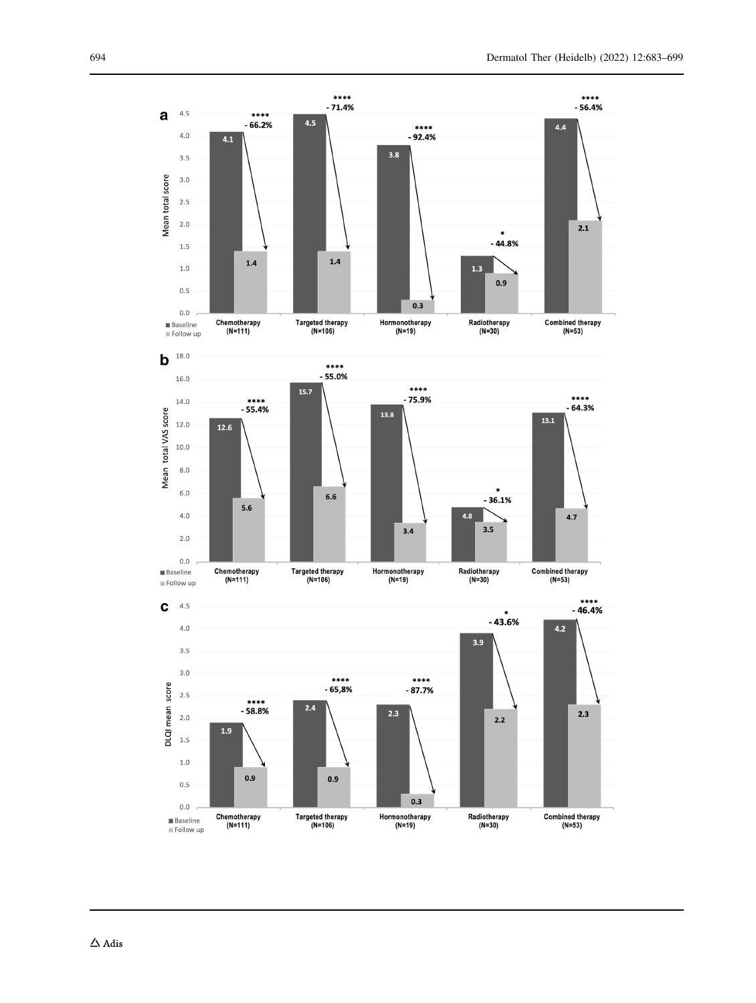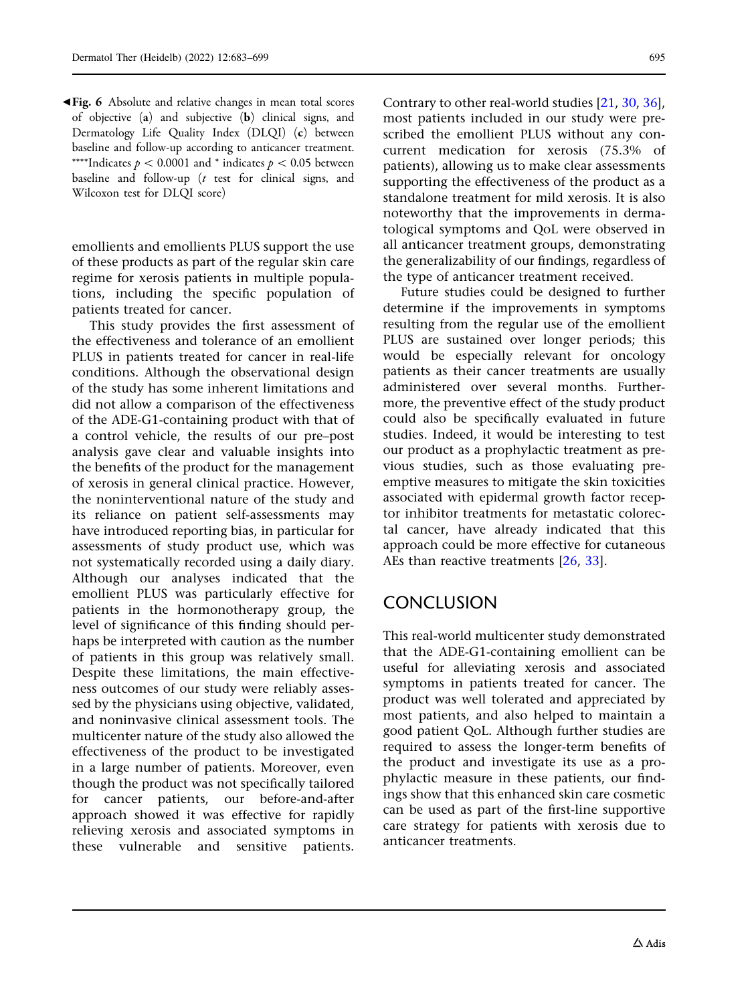<span id="page-12-0"></span>b Fig. 6 Absolute and relative changes in mean total scores of objective (a) and subjective (b) clinical signs, and Dermatology Life Quality Index (DLQI) (c) between baseline and follow-up according to anticancer treatment. \*\*\*\*Indicates  $p \lt 0.0001$  and \* indicates  $p \lt 0.05$  between baseline and follow-up  $(t$  test for clinical signs, and Wilcoxon test for DLQI score)

emollients and emollients PLUS support the use of these products as part of the regular skin care regime for xerosis patients in multiple populations, including the specific population of patients treated for cancer.

This study provides the first assessment of the effectiveness and tolerance of an emollient PLUS in patients treated for cancer in real-life conditions. Although the observational design of the study has some inherent limitations and did not allow a comparison of the effectiveness of the ADE-G1-containing product with that of a control vehicle, the results of our pre–post analysis gave clear and valuable insights into the benefits of the product for the management of xerosis in general clinical practice. However, the noninterventional nature of the study and its reliance on patient self-assessments may have introduced reporting bias, in particular for assessments of study product use, which was not systematically recorded using a daily diary. Although our analyses indicated that the emollient PLUS was particularly effective for patients in the hormonotherapy group, the level of significance of this finding should perhaps be interpreted with caution as the number of patients in this group was relatively small. Despite these limitations, the main effectiveness outcomes of our study were reliably assessed by the physicians using objective, validated, and noninvasive clinical assessment tools. The multicenter nature of the study also allowed the effectiveness of the product to be investigated in a large number of patients. Moreover, even though the product was not specifically tailored for cancer patients, our before-and-after approach showed it was effective for rapidly relieving xerosis and associated symptoms in these vulnerable and sensitive patients.

Contrary to other real-world studies [\[21,](#page-15-0) [30](#page-15-0), [36](#page-16-0)], most patients included in our study were prescribed the emollient PLUS without any concurrent medication for xerosis (75.3% of patients), allowing us to make clear assessments supporting the effectiveness of the product as a standalone treatment for mild xerosis. It is also noteworthy that the improvements in dermatological symptoms and QoL were observed in all anticancer treatment groups, demonstrating the generalizability of our findings, regardless of the type of anticancer treatment received.

Future studies could be designed to further determine if the improvements in symptoms resulting from the regular use of the emollient PLUS are sustained over longer periods; this would be especially relevant for oncology patients as their cancer treatments are usually administered over several months. Furthermore, the preventive effect of the study product could also be specifically evaluated in future studies. Indeed, it would be interesting to test our product as a prophylactic treatment as previous studies, such as those evaluating preemptive measures to mitigate the skin toxicities associated with epidermal growth factor receptor inhibitor treatments for metastatic colorectal cancer, have already indicated that this approach could be more effective for cutaneous AEs than reactive treatments [[26,](#page-15-0) [33\]](#page-15-0).

## **CONCLUSION**

This real-world multicenter study demonstrated that the ADE-G1-containing emollient can be useful for alleviating xerosis and associated symptoms in patients treated for cancer. The product was well tolerated and appreciated by most patients, and also helped to maintain a good patient QoL. Although further studies are required to assess the longer-term benefits of the product and investigate its use as a prophylactic measure in these patients, our findings show that this enhanced skin care cosmetic can be used as part of the first-line supportive care strategy for patients with xerosis due to anticancer treatments.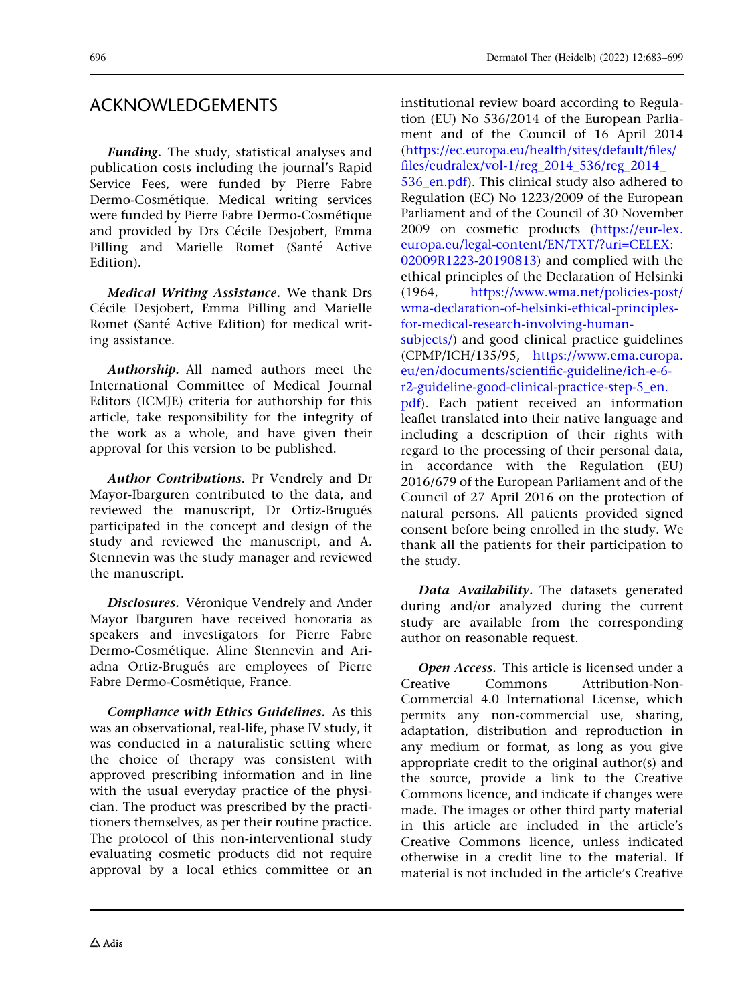## ACKNOWLEDGEMENTS

Funding. The study, statistical analyses and publication costs including the journal's Rapid Service Fees, were funded by Pierre Fabre Dermo-Cosmétique. Medical writing services were funded by Pierre Fabre Dermo-Cosmétique and provided by Drs Cécile Desjobert, Emma Pilling and Marielle Romet (Santé Active Edition).

Medical Writing Assistance. We thank Drs Cécile Desjobert, Emma Pilling and Marielle Romet (Santé Active Edition) for medical writing assistance.

Authorship. All named authors meet the International Committee of Medical Journal Editors (ICMJE) criteria for authorship for this article, take responsibility for the integrity of the work as a whole, and have given their approval for this version to be published.

Author Contributions. Pr Vendrely and Dr Mayor-Ibarguren contributed to the data, and reviewed the manuscript, Dr Ortiz-Brugués participated in the concept and design of the study and reviewed the manuscript, and A. Stennevin was the study manager and reviewed the manuscript.

Disclosures. Véronique Vendrely and Ander Mayor Ibarguren have received honoraria as speakers and investigators for Pierre Fabre Dermo-Cosmétique. Aline Stennevin and Ariadna Ortiz-Brugués are employees of Pierre Fabre Dermo-Cosmétique, France.

Compliance with Ethics Guidelines. As this was an observational, real-life, phase IV study, it was conducted in a naturalistic setting where the choice of therapy was consistent with approved prescribing information and in line with the usual everyday practice of the physician. The product was prescribed by the practitioners themselves, as per their routine practice. The protocol of this non-interventional study evaluating cosmetic products did not require approval by a local ethics committee or an institutional review board according to Regulation (EU) No 536/2014 of the European Parliament and of the Council of 16 April 2014 ([https://ec.europa.eu/health/sites/default/files/](https://ec.europa.eu/health/sites/default/files/files/eudralex/vol-1/reg_2014_536/reg_2014_536_en.pdf) [files/eudralex/vol-1/reg\\_2014\\_536/reg\\_2014\\_](https://ec.europa.eu/health/sites/default/files/files/eudralex/vol-1/reg_2014_536/reg_2014_536_en.pdf) 536 en.pdf). This clinical study also adhered to Regulation (EC) No 1223/2009 of the European Parliament and of the Council of 30 November 2009 on cosmetic products ([https://eur-lex.](https://eur-lex.europa.eu/legal-content/EN/TXT/?uri=CELEX:02009R1223-20190813) [europa.eu/legal-content/EN/TXT/?uri=CELEX:](https://eur-lex.europa.eu/legal-content/EN/TXT/?uri=CELEX:02009R1223-20190813) [02009R1223-20190813\)](https://eur-lex.europa.eu/legal-content/EN/TXT/?uri=CELEX:02009R1223-20190813) and complied with the ethical principles of the Declaration of Helsinki (1964, [https://www.wma.net/policies-post/](https://www.wma.net/policies-post/wma-declaration-of-helsinki-ethical-principles-for-medical-research-involving-human-subjects/) [wma-declaration-of-helsinki-ethical-principles](https://www.wma.net/policies-post/wma-declaration-of-helsinki-ethical-principles-for-medical-research-involving-human-subjects/)[for-medical-research-involving-human](https://www.wma.net/policies-post/wma-declaration-of-helsinki-ethical-principles-for-medical-research-involving-human-subjects/)[subjects/\)](https://www.wma.net/policies-post/wma-declaration-of-helsinki-ethical-principles-for-medical-research-involving-human-subjects/) and good clinical practice guidelines (CPMP/ICH/135/95, [https://www.ema.europa.](https://www.ema.europa.eu/en/documents/scientific-guideline/ich-e-6-r2-guideline-good-clinical-practice-step-5_en.pdf) [eu/en/documents/scientific-guideline/ich-e-6](https://www.ema.europa.eu/en/documents/scientific-guideline/ich-e-6-r2-guideline-good-clinical-practice-step-5_en.pdf) [r2-guideline-good-clinical-practice-step-5\\_en.](https://www.ema.europa.eu/en/documents/scientific-guideline/ich-e-6-r2-guideline-good-clinical-practice-step-5_en.pdf) [pdf\)](https://www.ema.europa.eu/en/documents/scientific-guideline/ich-e-6-r2-guideline-good-clinical-practice-step-5_en.pdf). Each patient received an information leaflet translated into their native language and including a description of their rights with regard to the processing of their personal data, in accordance with the Regulation (EU) 2016/679 of the European Parliament and of the Council of 27 April 2016 on the protection of natural persons. All patients provided signed consent before being enrolled in the study. We thank all the patients for their participation to the study.

Data Availability. The datasets generated during and/or analyzed during the current study are available from the corresponding author on reasonable request.

Open Access. This article is licensed under a Creative Commons Attribution-Non-Commercial 4.0 International License, which permits any non-commercial use, sharing, adaptation, distribution and reproduction in any medium or format, as long as you give appropriate credit to the original author(s) and the source, provide a link to the Creative Commons licence, and indicate if changes were made. The images or other third party material in this article are included in the article's Creative Commons licence, unless indicated otherwise in a credit line to the material. If material is not included in the article's Creative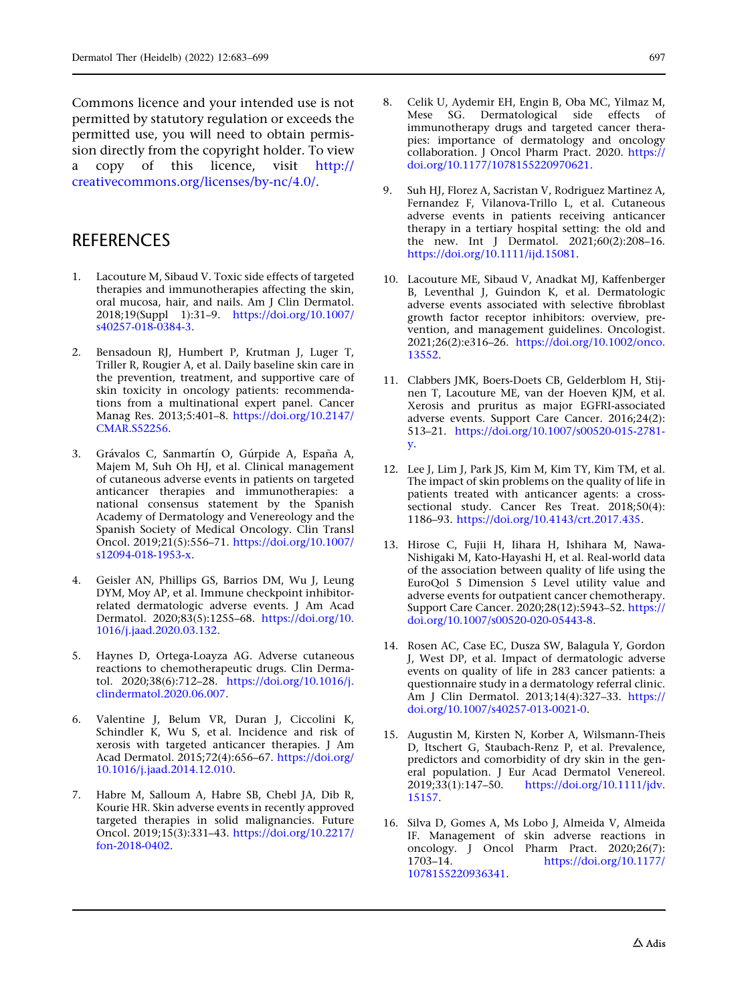<span id="page-14-0"></span>Commons licence and your intended use is not permitted by statutory regulation or exceeds the permitted use, you will need to obtain permission directly from the copyright holder. To view a copy of this licence, visit [http://](http://creativecommons.org/licenses/by-nc/4.0/) [creativecommons.org/licenses/by-nc/4.0/.](http://creativecommons.org/licenses/by-nc/4.0/)

## **REFERENCES**

- 1. Lacouture M, Sibaud V. Toxic side effects of targeted therapies and immunotherapies affecting the skin, oral mucosa, hair, and nails. Am J Clin Dermatol. 2018;19(Suppl 1):31–9. [https://doi.org/10.1007/](https://doi.org/10.1007/s40257-018-0384-3) [s40257-018-0384-3.](https://doi.org/10.1007/s40257-018-0384-3)
- 2. Bensadoun RJ, Humbert P, Krutman J, Luger T, Triller R, Rougier A, et al. Daily baseline skin care in the prevention, treatment, and supportive care of skin toxicity in oncology patients: recommendations from a multinational expert panel. Cancer Manag Res. 2013;5:401–8. [https://doi.org/10.2147/](https://doi.org/10.2147/CMAR.S52256) [CMAR.S52256](https://doi.org/10.2147/CMAR.S52256).
- 3. Grávalos C, Sanmartín O, Gúrpide A, España A, Majem M, Suh Oh HJ, et al. Clinical management of cutaneous adverse events in patients on targeted anticancer therapies and immunotherapies: a national consensus statement by the Spanish Academy of Dermatology and Venereology and the Spanish Society of Medical Oncology. Clin Transl Oncol. 2019;21(5):556–71. [https://doi.org/10.1007/](https://doi.org/10.1007/s12094-018-1953-x) [s12094-018-1953-x.](https://doi.org/10.1007/s12094-018-1953-x)
- 4. Geisler AN, Phillips GS, Barrios DM, Wu J, Leung DYM, Moy AP, et al. Immune checkpoint inhibitorrelated dermatologic adverse events. J Am Acad Dermatol. 2020;83(5):1255–68. [https://doi.org/10.](https://doi.org/10.1016/j.jaad.2020.03.132) [1016/j.jaad.2020.03.132](https://doi.org/10.1016/j.jaad.2020.03.132).
- 5. Haynes D, Ortega-Loayza AG. Adverse cutaneous reactions to chemotherapeutic drugs. Clin Dermatol. 2020;38(6):712–28. [https://doi.org/10.1016/j.](https://doi.org/10.1016/j.clindermatol.2020.06.007) [clindermatol.2020.06.007.](https://doi.org/10.1016/j.clindermatol.2020.06.007)
- 6. Valentine J, Belum VR, Duran J, Ciccolini K, Schindler K, Wu S, et al. Incidence and risk of xerosis with targeted anticancer therapies. J Am Acad Dermatol. 2015;72(4):656–67. [https://doi.org/](https://doi.org/10.1016/j.jaad.2014.12.010) [10.1016/j.jaad.2014.12.010](https://doi.org/10.1016/j.jaad.2014.12.010).
- 7. Habre M, Salloum A, Habre SB, Chebl JA, Dib R, Kourie HR. Skin adverse events in recently approved targeted therapies in solid malignancies. Future Oncol. 2019;15(3):331–43. [https://doi.org/10.2217/](https://doi.org/10.2217/fon-2018-0402) [fon-2018-0402.](https://doi.org/10.2217/fon-2018-0402)
- 8. Celik U, Aydemir EH, Engin B, Oba MC, Yilmaz M, Mese SG. Dermatological side effects of immunotherapy drugs and targeted cancer therapies: importance of dermatology and oncology collaboration. J Oncol Pharm Pract. 2020. [https://](https://doi.org/10.1177/1078155220970621) [doi.org/10.1177/1078155220970621.](https://doi.org/10.1177/1078155220970621)
- 9. Suh HJ, Florez A, Sacristan V, Rodriguez Martinez A, Fernandez F, Vilanova-Trillo L, et al. Cutaneous adverse events in patients receiving anticancer therapy in a tertiary hospital setting: the old and the new. Int J Dermatol. 2021;60(2):208–16. [https://doi.org/10.1111/ijd.15081.](https://doi.org/10.1111/ijd.15081)
- 10. Lacouture ME, Sibaud V, Anadkat MJ, Kaffenberger B, Leventhal J, Guindon K, et al. Dermatologic adverse events associated with selective fibroblast growth factor receptor inhibitors: overview, prevention, and management guidelines. Oncologist. 2021;26(2):e316–26. [https://doi.org/10.1002/onco.](https://doi.org/10.1002/onco.13552) [13552](https://doi.org/10.1002/onco.13552).
- 11. Clabbers JMK, Boers-Doets CB, Gelderblom H, Stijnen T, Lacouture ME, van der Hoeven KJM, et al. Xerosis and pruritus as major EGFRI-associated adverse events. Support Care Cancer. 2016;24(2): 513–21. [https://doi.org/10.1007/s00520-015-2781](https://doi.org/10.1007/s00520-015-2781-y) [y.](https://doi.org/10.1007/s00520-015-2781-y)
- 12. Lee J, Lim J, Park JS, Kim M, Kim TY, Kim TM, et al. The impact of skin problems on the quality of life in patients treated with anticancer agents: a crosssectional study. Cancer Res Treat. 2018;50(4): 1186–93. <https://doi.org/10.4143/crt.2017.435>.
- 13. Hirose C, Fujii H, Iihara H, Ishihara M, Nawa-Nishigaki M, Kato-Hayashi H, et al. Real-world data of the association between quality of life using the EuroQol 5 Dimension 5 Level utility value and adverse events for outpatient cancer chemotherapy. Support Care Cancer. 2020;28(12):5943–52. [https://](https://doi.org/10.1007/s00520-020-05443-8) [doi.org/10.1007/s00520-020-05443-8](https://doi.org/10.1007/s00520-020-05443-8).
- 14. Rosen AC, Case EC, Dusza SW, Balagula Y, Gordon J, West DP, et al. Impact of dermatologic adverse events on quality of life in 283 cancer patients: a questionnaire study in a dermatology referral clinic. Am J Clin Dermatol. 2013;14(4):327–33. [https://](https://doi.org/10.1007/s40257-013-0021-0) [doi.org/10.1007/s40257-013-0021-0](https://doi.org/10.1007/s40257-013-0021-0).
- 15. Augustin M, Kirsten N, Korber A, Wilsmann-Theis D, Itschert G, Staubach-Renz P, et al. Prevalence, predictors and comorbidity of dry skin in the general population. J Eur Acad Dermatol Venereol. 2019;33(1):147–50. [https://doi.org/10.1111/jdv.](https://doi.org/10.1111/jdv.15157) [15157](https://doi.org/10.1111/jdv.15157).
- 16. Silva D, Gomes A, Ms Lobo J, Almeida V, Almeida IF. Management of skin adverse reactions in oncology. J Oncol Pharm Pract. 2020;26(7):<br>1703-14. https://doi.org/10.1177/ 1703–14. [https://doi.org/10.1177/](https://doi.org/10.1177/1078155220936341) [1078155220936341.](https://doi.org/10.1177/1078155220936341)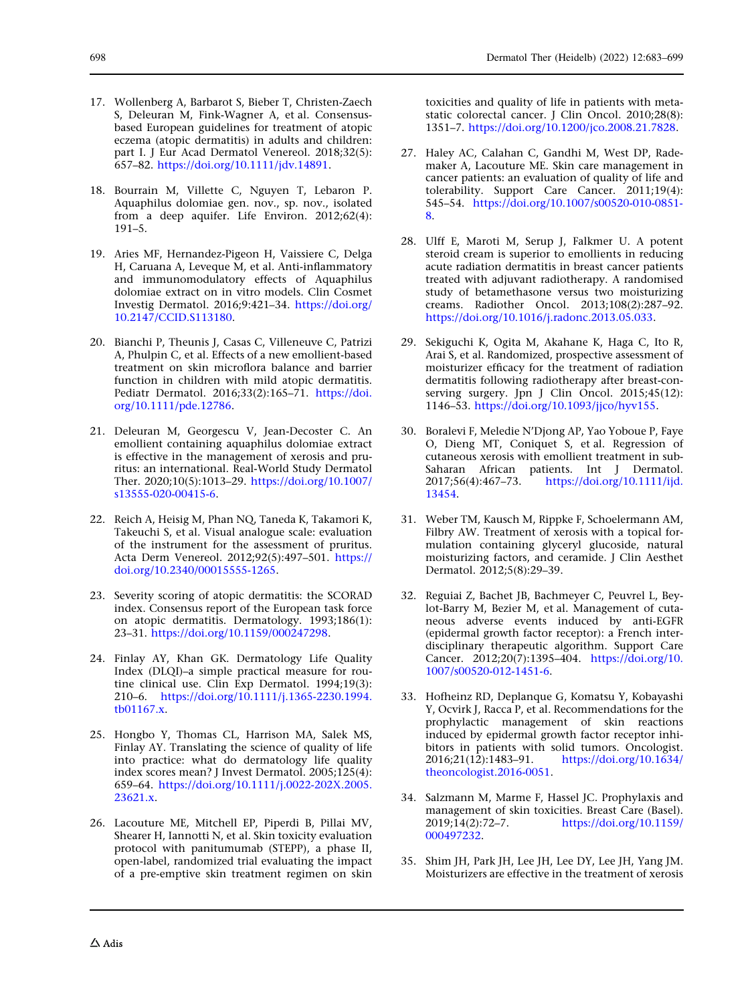- <span id="page-15-0"></span>17. Wollenberg A, Barbarot S, Bieber T, Christen-Zaech S, Deleuran M, Fink-Wagner A, et al. Consensusbased European guidelines for treatment of atopic eczema (atopic dermatitis) in adults and children: part I. J Eur Acad Dermatol Venereol. 2018;32(5): 657–82. [https://doi.org/10.1111/jdv.14891.](https://doi.org/10.1111/jdv.14891)
- 18. Bourrain M, Villette C, Nguyen T, Lebaron P. Aquaphilus dolomiae gen. nov., sp. nov., isolated from a deep aquifer. Life Environ. 2012;62(4): 191–5.
- 19. Aries MF, Hernandez-Pigeon H, Vaissiere C, Delga H, Caruana A, Leveque M, et al. Anti-inflammatory and immunomodulatory effects of Aquaphilus dolomiae extract on in vitro models. Clin Cosmet Investig Dermatol. 2016;9:421–34. [https://doi.org/](https://doi.org/10.2147/CCID.S113180) [10.2147/CCID.S113180.](https://doi.org/10.2147/CCID.S113180)
- 20. Bianchi P, Theunis J, Casas C, Villeneuve C, Patrizi A, Phulpin C, et al. Effects of a new emollient-based treatment on skin microflora balance and barrier function in children with mild atopic dermatitis. Pediatr Dermatol. 2016;33(2):165–71. [https://doi.](https://doi.org/10.1111/pde.12786) [org/10.1111/pde.12786](https://doi.org/10.1111/pde.12786).
- 21. Deleuran M, Georgescu V, Jean-Decoster C. An emollient containing aquaphilus dolomiae extract is effective in the management of xerosis and pruritus: an international. Real-World Study Dermatol Ther. 2020;10(5):1013–29. [https://doi.org/10.1007/](https://doi.org/10.1007/s13555-020-00415-6) [s13555-020-00415-6.](https://doi.org/10.1007/s13555-020-00415-6)
- 22. Reich A, Heisig M, Phan NQ, Taneda K, Takamori K, Takeuchi S, et al. Visual analogue scale: evaluation of the instrument for the assessment of pruritus. Acta Derm Venereol. 2012;92(5):497–501. [https://](https://doi.org/10.2340/00015555-1265) [doi.org/10.2340/00015555-1265](https://doi.org/10.2340/00015555-1265).
- 23. Severity scoring of atopic dermatitis: the SCORAD index. Consensus report of the European task force on atopic dermatitis. Dermatology. 1993;186(1): 23–31. <https://doi.org/10.1159/000247298>.
- 24. Finlay AY, Khan GK. Dermatology Life Quality Index (DLQI)–a simple practical measure for routine clinical use. Clin Exp Dermatol. 1994;19(3): 210–6. [https://doi.org/10.1111/j.1365-2230.1994.](https://doi.org/10.1111/j.1365-2230.1994.tb01167.x) [tb01167.x.](https://doi.org/10.1111/j.1365-2230.1994.tb01167.x)
- 25. Hongbo Y, Thomas CL, Harrison MA, Salek MS, Finlay AY. Translating the science of quality of life into practice: what do dermatology life quality index scores mean? J Invest Dermatol. 2005;125(4): 659–64. [https://doi.org/10.1111/j.0022-202X.2005.](https://doi.org/10.1111/j.0022-202X.2005.23621.x) [23621.x.](https://doi.org/10.1111/j.0022-202X.2005.23621.x)
- 26. Lacouture ME, Mitchell EP, Piperdi B, Pillai MV, Shearer H, Iannotti N, et al. Skin toxicity evaluation protocol with panitumumab (STEPP), a phase II, open-label, randomized trial evaluating the impact of a pre-emptive skin treatment regimen on skin

toxicities and quality of life in patients with metastatic colorectal cancer. J Clin Oncol. 2010;28(8): 1351–7. [https://doi.org/10.1200/jco.2008.21.7828.](https://doi.org/10.1200/jco.2008.21.7828)

- 27. Haley AC, Calahan C, Gandhi M, West DP, Rademaker A, Lacouture ME. Skin care management in cancer patients: an evaluation of quality of life and tolerability. Support Care Cancer. 2011;19(4): 545–54. [https://doi.org/10.1007/s00520-010-0851-](https://doi.org/10.1007/s00520-010-0851-8) [8](https://doi.org/10.1007/s00520-010-0851-8).
- 28. Ulff E, Maroti M, Serup J, Falkmer U. A potent steroid cream is superior to emollients in reducing acute radiation dermatitis in breast cancer patients treated with adjuvant radiotherapy. A randomised study of betamethasone versus two moisturizing creams. Radiother Oncol. 2013;108(2):287–92. [https://doi.org/10.1016/j.radonc.2013.05.033.](https://doi.org/10.1016/j.radonc.2013.05.033)
- 29. Sekiguchi K, Ogita M, Akahane K, Haga C, Ito R, Arai S, et al. Randomized, prospective assessment of moisturizer efficacy for the treatment of radiation dermatitis following radiotherapy after breast-conserving surgery. Jpn J Clin Oncol. 2015;45(12): 1146–53. [https://doi.org/10.1093/jjco/hyv155.](https://doi.org/10.1093/jjco/hyv155)
- 30. Boralevi F, Meledie N'Djong AP, Yao Yoboue P, Faye O, Dieng MT, Coniquet S, et al. Regression of cutaneous xerosis with emollient treatment in sub-Saharan African patients. Int J Dermatol. 2017;56(4):467–73. [https://doi.org/10.1111/ijd.](https://doi.org/10.1111/ijd.13454) [13454.](https://doi.org/10.1111/ijd.13454)
- 31. Weber TM, Kausch M, Rippke F, Schoelermann AM, Filbry AW. Treatment of xerosis with a topical formulation containing glyceryl glucoside, natural moisturizing factors, and ceramide. J Clin Aesthet Dermatol. 2012;5(8):29–39.
- 32. Reguiai Z, Bachet JB, Bachmeyer C, Peuvrel L, Beylot-Barry M, Bezier M, et al. Management of cutaneous adverse events induced by anti-EGFR (epidermal growth factor receptor): a French interdisciplinary therapeutic algorithm. Support Care Cancer. 2012;20(7):1395–404. [https://doi.org/10.](https://doi.org/10.1007/s00520-012-1451-6) [1007/s00520-012-1451-6.](https://doi.org/10.1007/s00520-012-1451-6)
- 33. Hofheinz RD, Deplanque G, Komatsu Y, Kobayashi Y, Ocvirk J, Racca P, et al. Recommendations for the prophylactic management of skin reactions induced by epidermal growth factor receptor inhibitors in patients with solid tumors. Oncologist.<br>2016;21(12):1483–91. https://doi.org/10.1634/ 2016;21(12):1483–91. [https://doi.org/10.1634/](https://doi.org/10.1634/theoncologist.2016-0051) [theoncologist.2016-0051.](https://doi.org/10.1634/theoncologist.2016-0051)
- 34. Salzmann M, Marme F, Hassel JC. Prophylaxis and management of skin toxicities. Breast Care (Basel). 2019;14(2):72–7. [https://doi.org/10.1159/](https://doi.org/10.1159/000497232) [000497232.](https://doi.org/10.1159/000497232)
- 35. Shim JH, Park JH, Lee JH, Lee DY, Lee JH, Yang JM. Moisturizers are effective in the treatment of xerosis